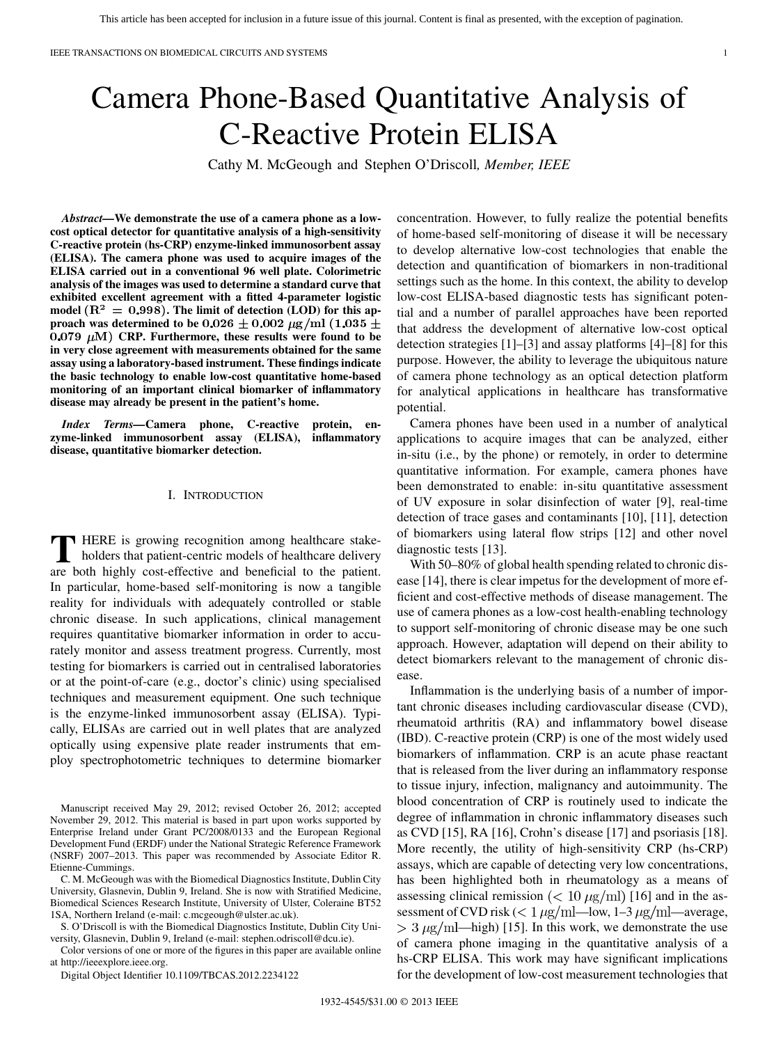# Camera Phone-Based Quantitative Analysis of C-Reactive Protein ELISA

Cathy M. McGeough and Stephen O'Driscoll*, Member, IEEE*

*Abstract—***We demonstrate the use of a camera phone as a lowcost optical detector for quantitative analysis of a high-sensitivity C-reactive protein (hs-CRP) enzyme-linked immunosorbent assay (ELISA). The camera phone was used to acquire images of the ELISA carried out in a conventional 96 well plate. Colorimetric analysis of the images was used to determine a standard curve that exhibited excellent agreement with a fitted 4-parameter logistic** model  $(R^2 = 0.998)$ . The limit of detection (LOD) for this approach was determined to be  $0.026\pm0.002$   $\mu\rm g/\rm ml$   $(1.035$  $(0.079 \mu M)$  CRP. Furthermore, these results were found to be **in very close agreement with measurements obtained for the same assay using a laboratory-based instrument. These findings indicate the basic technology to enable low-cost quantitative home-based monitoring of an important clinical biomarker of inflammatory disease may already be present in the patient's home.**

*Index Terms—***Camera phone, C-reactive protein, enzyme-linked immunosorbent assay (ELISA), inflammatory disease, quantitative biomarker detection.**

## I. INTRODUCTION

**T** HERE is growing recognition among healthcare stake-<br>holders that patient-centric models of healthcare delivery are both highly cost-effective and beneficial to the patient. In particular, home-based self-monitoring is now a tangible reality for individuals with adequately controlled or stable chronic disease. In such applications, clinical management requires quantitative biomarker information in order to accurately monitor and assess treatment progress. Currently, most testing for biomarkers is carried out in centralised laboratories or at the point-of-care (e.g., doctor's clinic) using specialised techniques and measurement equipment. One such technique is the enzyme-linked immunosorbent assay (ELISA). Typically, ELISAs are carried out in well plates that are analyzed optically using expensive plate reader instruments that employ spectrophotometric techniques to determine biomarker

Manuscript received May 29, 2012; revised October 26, 2012; accepted November 29, 2012. This material is based in part upon works supported by Enterprise Ireland under Grant PC/2008/0133 and the European Regional Development Fund (ERDF) under the National Strategic Reference Framework (NSRF) 2007–2013. This paper was recommended by Associate Editor R. Etienne-Cummings.

C. M. McGeough was with the Biomedical Diagnostics Institute, Dublin City University, Glasnevin, Dublin 9, Ireland. She is now with Stratified Medicine, Biomedical Sciences Research Institute, University of Ulster, Coleraine BT52 1SA, Northern Ireland (e-mail: c.mcgeough@ulster.ac.uk).

S. O'Driscoll is with the Biomedical Diagnostics Institute, Dublin City University, Glasnevin, Dublin 9, Ireland (e-mail: stephen.odriscoll@dcu.ie).

Color versions of one or more of the figures in this paper are available online at http://ieeexplore.ieee.org.

Digital Object Identifier 10.1109/TBCAS.2012.2234122

concentration. However, to fully realize the potential benefits of home-based self-monitoring of disease it will be necessary to develop alternative low-cost technologies that enable the detection and quantification of biomarkers in non-traditional settings such as the home. In this context, the ability to develop low-cost ELISA-based diagnostic tests has significant potential and a number of parallel approaches have been reported that address the development of alternative low-cost optical detection strategies [1]–[3] and assay platforms [4]–[8] for this purpose. However, the ability to leverage the ubiquitous nature of camera phone technology as an optical detection platform for analytical applications in healthcare has transformative potential.

Camera phones have been used in a number of analytical applications to acquire images that can be analyzed, either in-situ (i.e., by the phone) or remotely, in order to determine quantitative information. For example, camera phones have been demonstrated to enable: in-situ quantitative assessment of UV exposure in solar disinfection of water [9], real-time detection of trace gases and contaminants [10], [11], detection of biomarkers using lateral flow strips [12] and other novel diagnostic tests [13].

With 50–80% of global health spending related to chronic disease [14], there is clear impetus for the development of more efficient and cost-effective methods of disease management. The use of camera phones as a low-cost health-enabling technology to support self-monitoring of chronic disease may be one such approach. However, adaptation will depend on their ability to detect biomarkers relevant to the management of chronic disease.

Inflammation is the underlying basis of a number of important chronic diseases including cardiovascular disease (CVD), rheumatoid arthritis (RA) and inflammatory bowel disease (IBD). C-reactive protein (CRP) is one of the most widely used biomarkers of inflammation. CRP is an acute phase reactant that is released from the liver during an inflammatory response to tissue injury, infection, malignancy and autoimmunity. The blood concentration of CRP is routinely used to indicate the degree of inflammation in chronic inflammatory diseases such as CVD [15], RA [16], Crohn's disease [17] and psoriasis [18]. More recently, the utility of high-sensitivity CRP (hs-CRP) assays, which are capable of detecting very low concentrations, has been highlighted both in rheumatology as a means of assessing clinical remission ( $\langle 10 \mu g/ml$ ) [16] and in the assessment of CVD risk ( $\lt 1 \mu g/ml$ —low, 1–3  $\mu g/ml$ —average,  $>$  3  $\mu$ g/ml—high) [15]. In this work, we demonstrate the use of camera phone imaging in the quantitative analysis of a hs-CRP ELISA. This work may have significant implications for the development of low-cost measurement technologies that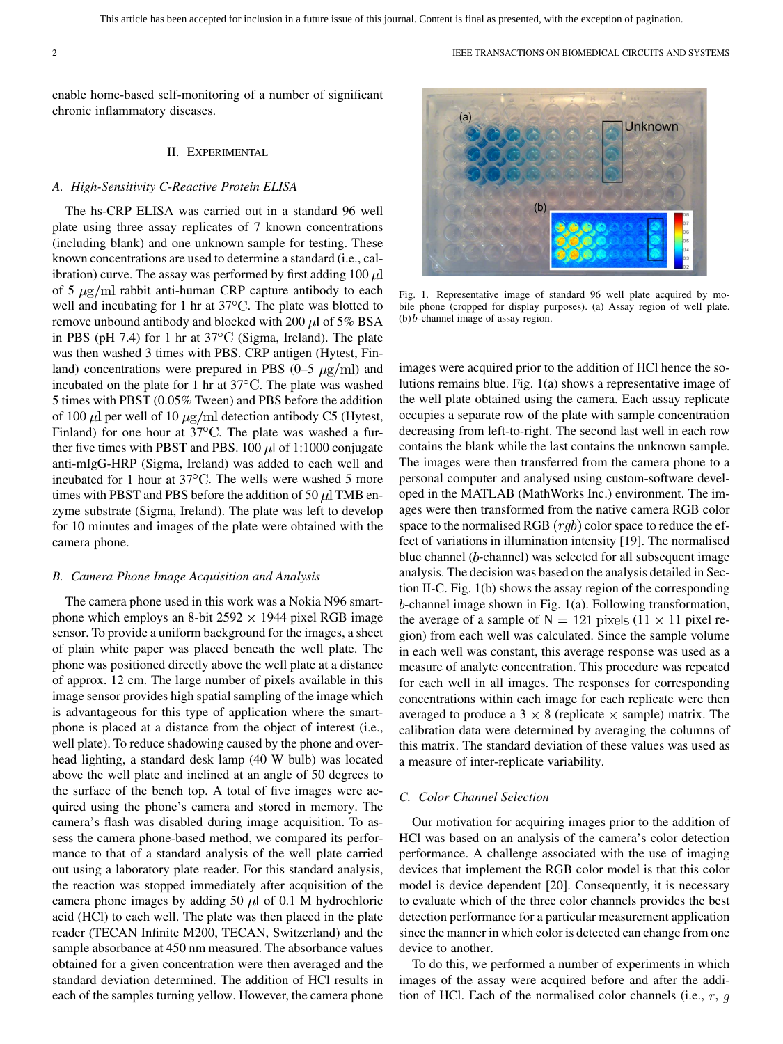2 IEEE TRANSACTIONS ON BIOMEDICAL CIRCUITS AND SYSTEMS

enable home-based self-monitoring of a number of significant chronic inflammatory diseases.

#### II. EXPERIMENTAL

#### *A. High-Sensitivity C-Reactive Protein ELISA*

The hs-CRP ELISA was carried out in a standard 96 well plate using three assay replicates of 7 known concentrations (including blank) and one unknown sample for testing. These known concentrations are used to determine a standard (i.e., calibration) curve. The assay was performed by first adding 100  $\mu$ l of 5  $\mu$ g/ml rabbit anti-human CRP capture antibody to each well and incubating for 1 hr at  $37^{\circ}$ C. The plate was blotted to remove unbound antibody and blocked with 200  $\mu$ l of 5% BSA in PBS (pH 7.4) for 1 hr at  $37^{\circ}$ C (Sigma, Ireland). The plate was then washed 3 times with PBS. CRP antigen (Hytest, Finland) concentrations were prepared in PBS (0–5  $\mu$ g/ml) and incubated on the plate for 1 hr at  $37^{\circ}$ C. The plate was washed 5 times with PBST (0.05% Tween) and PBS before the addition of 100  $\mu$ l per well of 10  $\mu$ g/ml detection antibody C5 (Hytest, Finland) for one hour at  $37^{\circ}$ C. The plate was washed a further five times with PBST and PBS. 100  $\mu$ l of 1:1000 conjugate anti-mIgG-HRP (Sigma, Ireland) was added to each well and incubated for 1 hour at  $37^{\circ}$ C. The wells were washed 5 more times with PBST and PBS before the addition of 50  $\mu$ l TMB enzyme substrate (Sigma, Ireland). The plate was left to develop for 10 minutes and images of the plate were obtained with the camera phone.

#### *B. Camera Phone Image Acquisition and Analysis*

The camera phone used in this work was a Nokia N96 smartphone which employs an 8-bit  $2592 \times 1944$  pixel RGB image sensor. To provide a uniform background for the images, a sheet of plain white paper was placed beneath the well plate. The phone was positioned directly above the well plate at a distance of approx. 12 cm. The large number of pixels available in this image sensor provides high spatial sampling of the image which is advantageous for this type of application where the smartphone is placed at a distance from the object of interest (i.e., well plate). To reduce shadowing caused by the phone and overhead lighting, a standard desk lamp (40 W bulb) was located above the well plate and inclined at an angle of 50 degrees to the surface of the bench top. A total of five images were acquired using the phone's camera and stored in memory. The camera's flash was disabled during image acquisition. To assess the camera phone-based method, we compared its performance to that of a standard analysis of the well plate carried out using a laboratory plate reader. For this standard analysis, the reaction was stopped immediately after acquisition of the camera phone images by adding 50  $\mu$ l of 0.1 M hydrochloric acid (HCl) to each well. The plate was then placed in the plate reader (TECAN Infinite M200, TECAN, Switzerland) and the sample absorbance at 450 nm measured. The absorbance values obtained for a given concentration were then averaged and the standard deviation determined. The addition of HCl results in each of the samples turning yellow. However, the camera phone



Fig. 1. Representative image of standard 96 well plate acquired by mobile phone (cropped for display purposes). (a) Assay region of well plate. (b)  $b$ -channel image of assay region.

images were acquired prior to the addition of HCl hence the solutions remains blue. Fig. 1(a) shows a representative image of the well plate obtained using the camera. Each assay replicate occupies a separate row of the plate with sample concentration decreasing from left-to-right. The second last well in each row contains the blank while the last contains the unknown sample. The images were then transferred from the camera phone to a personal computer and analysed using custom-software developed in the MATLAB (MathWorks Inc.) environment. The images were then transformed from the native camera RGB color space to the normalised RGB  $(rgb)$  color space to reduce the effect of variations in illumination intensity [19]. The normalised blue channel ( $b$ -channel) was selected for all subsequent image analysis. The decision was based on the analysis detailed in Section II-C. Fig. 1(b) shows the assay region of the corresponding b-channel image shown in Fig.  $1(a)$ . Following transformation, the average of a sample of  $N = 121$  pixels (11  $\times$  11 pixel region) from each well was calculated. Since the sample volume in each well was constant, this average response was used as a measure of analyte concentration. This procedure was repeated for each well in all images. The responses for corresponding concentrations within each image for each replicate were then averaged to produce a  $3 \times 8$  (replicate  $\times$  sample) matrix. The calibration data were determined by averaging the columns of this matrix. The standard deviation of these values was used as a measure of inter-replicate variability.

## *C. Color Channel Selection*

Our motivation for acquiring images prior to the addition of HCl was based on an analysis of the camera's color detection performance. A challenge associated with the use of imaging devices that implement the RGB color model is that this color model is device dependent [20]. Consequently, it is necessary to evaluate which of the three color channels provides the best detection performance for a particular measurement application since the manner in which color is detected can change from one device to another.

To do this, we performed a number of experiments in which images of the assay were acquired before and after the addition of HCl. Each of the normalised color channels (i.e.,  $r, q$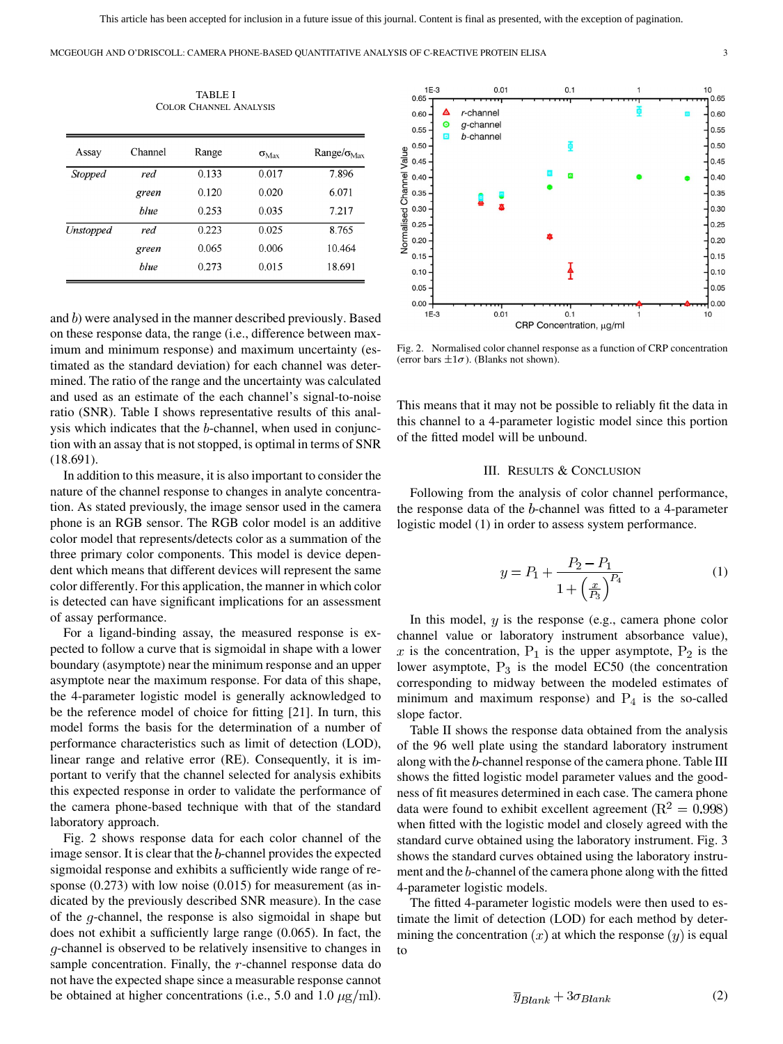MCGEOUGH AND O'DRISCOLL: CAMERA PHONE-BASED QUANTITATIVE ANALYSIS OF C-REACTIVE PROTEIN ELISA 3

| Assay            | Channel     | Range | $\sigma_{\text{Max}}$ | Range/ $\sigma_{\text{Max}}$ |
|------------------|-------------|-------|-----------------------|------------------------------|
| <b>Stopped</b>   | red         | 0.133 | 0.017                 | 7.896                        |
|                  | green       | 0.120 | 0.020                 | 6.071                        |
|                  | <b>blue</b> | 0.253 | 0.035                 | 7.217                        |
| <b>Unstopped</b> | red         | 0.223 | 0.025                 | 8.765                        |
|                  | green       | 0.065 | 0.006                 | 10.464                       |
|                  | blue        | 0.273 | 0.015                 | 18.691                       |

TABLE I COLOR CHANNEL ANALYSIS

and  $b$ ) were analysed in the manner described previously. Based on these response data, the range (i.e., difference between maximum and minimum response) and maximum uncertainty (estimated as the standard deviation) for each channel was determined. The ratio of the range and the uncertainty was calculated and used as an estimate of the each channel's signal-to-noise ratio (SNR). Table I shows representative results of this analysis which indicates that the  $b$ -channel, when used in conjunction with an assay that is not stopped, is optimal in terms of SNR (18.691).

In addition to this measure, it is also important to consider the nature of the channel response to changes in analyte concentration. As stated previously, the image sensor used in the camera phone is an RGB sensor. The RGB color model is an additive color model that represents/detects color as a summation of the three primary color components. This model is device dependent which means that different devices will represent the same color differently. For this application, the manner in which color is detected can have significant implications for an assessment of assay performance.

For a ligand-binding assay, the measured response is expected to follow a curve that is sigmoidal in shape with a lower boundary (asymptote) near the minimum response and an upper asymptote near the maximum response. For data of this shape, the 4-parameter logistic model is generally acknowledged to be the reference model of choice for fitting [21]. In turn, this model forms the basis for the determination of a number of performance characteristics such as limit of detection (LOD), linear range and relative error (RE). Consequently, it is important to verify that the channel selected for analysis exhibits this expected response in order to validate the performance of the camera phone-based technique with that of the standard laboratory approach.

Fig. 2 shows response data for each color channel of the image sensor. It is clear that the  $b$ -channel provides the expected sigmoidal response and exhibits a sufficiently wide range of response (0.273) with low noise (0.015) for measurement (as indicated by the previously described SNR measure). In the case of the  $q$ -channel, the response is also sigmoidal in shape but does not exhibit a sufficiently large range (0.065). In fact, the -channel is observed to be relatively insensitive to changes in sample concentration. Finally, the  $r$ -channel response data do not have the expected shape since a measurable response cannot be obtained at higher concentrations (i.e., 5.0 and 1.0  $\mu$ g/ml).



Fig. 2. Normalised color channel response as a function of CRP concentration (error bars  $+1\sigma$ ). (Blanks not shown).

This means that it may not be possible to reliably fit the data in this channel to a 4-parameter logistic model since this portion of the fitted model will be unbound.

# III. RESULTS & CONCLUSION

Following from the analysis of color channel performance, the response data of the  $b$ -channel was fitted to a 4-parameter logistic model (1) in order to assess system performance.

$$
y = P_1 + \frac{P_2 - P_1}{1 + \left(\frac{x}{P_3}\right)^{P_4}}
$$
 (1)

In this model,  $y$  is the response (e.g., camera phone color channel value or laboratory instrument absorbance value), x is the concentration,  $P_1$  is the upper asymptote,  $P_2$  is the lower asymptote,  $P_3$  is the model EC50 (the concentration corresponding to midway between the modeled estimates of minimum and maximum response) and  $P_4$  is the so-called slope factor.

Table II shows the response data obtained from the analysis of the 96 well plate using the standard laboratory instrument along with the  $b$ -channel response of the camera phone. Table III shows the fitted logistic model parameter values and the goodness of fit measures determined in each case. The camera phone data were found to exhibit excellent agreement ( $R^2 = 0.998$ ) when fitted with the logistic model and closely agreed with the standard curve obtained using the laboratory instrument. Fig. 3 shows the standard curves obtained using the laboratory instrument and the  $b$ -channel of the camera phone along with the fitted 4-parameter logistic models.

The fitted 4-parameter logistic models were then used to estimate the limit of detection (LOD) for each method by determining the concentration  $(x)$  at which the response  $(y)$  is equal to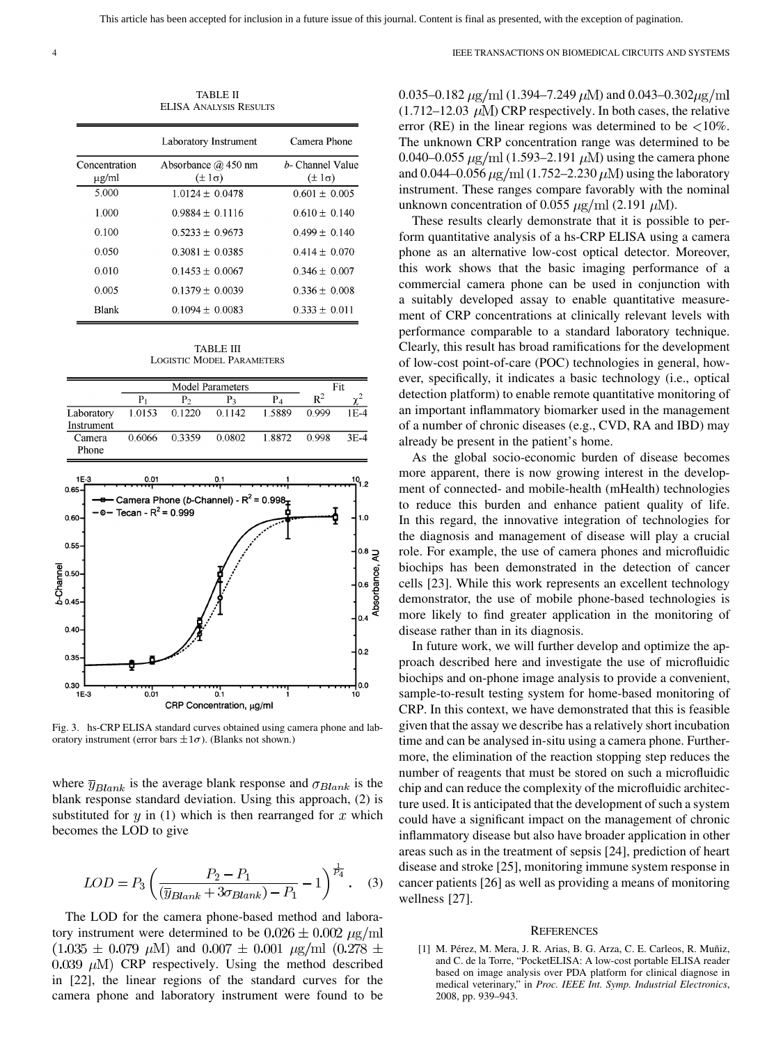#### 4 IEEE TRANSACTIONS ON BIOMEDICAL CIRCUITS AND SYSTEMS

|                             | Laboratory Instrument                         | Camera Phone                        |
|-----------------------------|-----------------------------------------------|-------------------------------------|
| Concentration<br>$\mu$ g/ml | Absorbance $\omega$ 450 nm<br>$(\pm 1\sigma)$ | b- Channel Value<br>$(\pm 1\sigma)$ |
| 5.000                       | $1.0124 \pm 0.0478$                           | $0.601 \pm 0.005$                   |
| 1 000                       | $0.9884 + 0.1116$                             | $0.610 \pm 0.140$                   |
| 0.100                       | $0.5233 + 0.9673$                             | $0.499 \pm 0.140$                   |
| 0.050                       | $0.3081 + 0.0385$                             | $0.414 \pm 0.070$                   |
| 0.010                       | $0.1453 \pm 0.0067$                           | $0.346 \pm 0.007$                   |
| 0.005                       | $0.1379 + 0.0039$                             | $0.336 \pm 0.008$                   |
| Blank                       | $0.1094 + 0.0083$                             | $0.333 + 0.011$                     |

TABLE II ELISA ANALYSIS RESULTS

TABLE III LOGISTIC MODEL PARAMETERS



Fig. 3. hs-CRP ELISA standard curves obtained using camera phone and laboratory instrument (error bars  $\pm 1\sigma$ ). (Blanks not shown.)

where  $\overline{y}_{Blank}$  is the average blank response and  $\sigma_{Blank}$  is the blank response standard deviation. Using this approach, (2) is substituted for y in (1) which is then rearranged for x which becomes the LOD to give

$$
LOD = P_3 \left( \frac{P_2 - P_1}{(\overline{y}_{Blank} + 3\sigma_{Blank}) - P_1} - 1 \right)^{\frac{1}{P_4}}.
$$
 (3)

The LOD for the camera phone-based method and laboratory instrument were determined to be  $0.026 \pm 0.002 \ \mu g/ml$  $(1.035 \pm 0.079 \mu M)$  and  $0.007 \pm 0.001 \mu g/ml$   $(0.278 \pm 0.001 \mu g/ml)$ 0.039  $\mu$ M) CRP respectively. Using the method described in [22], the linear regions of the standard curves for the camera phone and laboratory instrument were found to be

0.035–0.182  $\mu$ g/ml (1.394–7.249  $\mu$ M) and 0.043–0.302 $\mu$ g/ml  $(1.712-12.03 \mu M)$  CRP respectively. In both cases, the relative error (RE) in the linear regions was determined to be  $<10\%$ . The unknown CRP concentration range was determined to be 0.040–0.055  $\mu$ g/ml (1.593–2.191  $\mu$ M) using the camera phone and 0.044–0.056  $\mu$ g/ml (1.752–2.230  $\mu$ M) using the laboratory instrument. These ranges compare favorably with the nominal unknown concentration of 0.055  $\mu$ g/ml (2.191  $\mu$ M).

These results clearly demonstrate that it is possible to perform quantitative analysis of a hs-CRP ELISA using a camera phone as an alternative low-cost optical detector. Moreover, this work shows that the basic imaging performance of a commercial camera phone can be used in conjunction with a suitably developed assay to enable quantitative measurement of CRP concentrations at clinically relevant levels with performance comparable to a standard laboratory technique. Clearly, this result has broad ramifications for the development of low-cost point-of-care (POC) technologies in general, however, specifically, it indicates a basic technology (i.e., optical detection platform) to enable remote quantitative monitoring of an important inflammatory biomarker used in the management of a number of chronic diseases (e.g., CVD, RA and IBD) may already be present in the patient's home.

As the global socio-economic burden of disease becomes more apparent, there is now growing interest in the development of connected- and mobile-health (mHealth) technologies to reduce this burden and enhance patient quality of life. In this regard, the innovative integration of technologies for the diagnosis and management of disease will play a crucial role. For example, the use of camera phones and microfluidic biochips has been demonstrated in the detection of cancer cells [23]. While this work represents an excellent technology demonstrator, the use of mobile phone-based technologies is more likely to find greater application in the monitoring of disease rather than in its diagnosis.

In future work, we will further develop and optimize the approach described here and investigate the use of microfluidic biochips and on-phone image analysis to provide a convenient, sample-to-result testing system for home-based monitoring of CRP. In this context, we have demonstrated that this is feasible given that the assay we describe has a relatively short incubation time and can be analysed in-situ using a camera phone. Furthermore, the elimination of the reaction stopping step reduces the number of reagents that must be stored on such a microfluidic chip and can reduce the complexity of the microfluidic architecture used. It is anticipated that the development of such a system could have a significant impact on the management of chronic inflammatory disease but also have broader application in other areas such as in the treatment of sepsis [24], prediction of heart disease and stroke [25], monitoring immune system response in cancer patients [26] as well as providing a means of monitoring wellness [27].

#### **REFERENCES**

[1] M. Pérez, M. Mera, J. R. Arias, B. G. Arza, C. E. Carleos, R. Muñiz, and C. de la Torre, "PocketELISA: A low-cost portable ELISA reader based on image analysis over PDA platform for clinical diagnose in medical veterinary," in *Proc. IEEE Int. Symp. Industrial Electronics*, 2008, pp. 939–943.